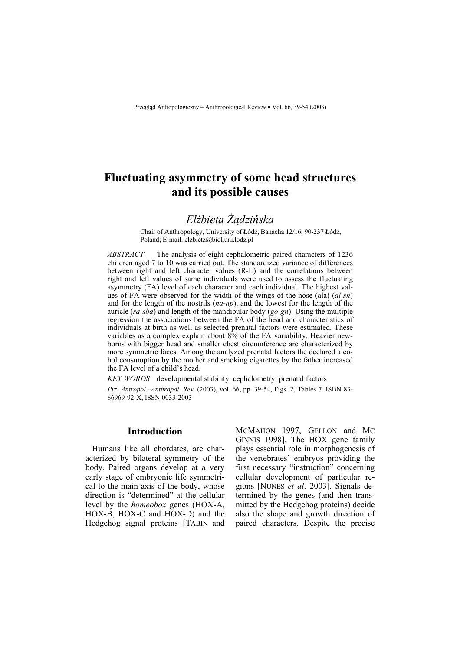# **Fluctuating asymmetry of some head structures and its possible causes**

# *Elżbieta Żądzińska*

Chair of Anthropology, University of Łódź, Banacha 12/16, 90-237 Łódź, Poland; E-mail: elzbietz@biol.uni.lodz.pl

*ABSTRACT* The analysis of eight cephalometric paired characters of 1236 children aged 7 to 10 was carried out. The standardized variance of differences between right and left character values (R-L) and the correlations between right and left values of same individuals were used to assess the fluctuating asymmetry (FA) level of each character and each individual. The highest values of FA were observed for the width of the wings of the nose (ala) (*al-sn*) and for the length of the nostrils (*na-np*), and the lowest for the length of the auricle (*sa-sba*) and length of the mandibular body (*go-gn*). Using the multiple regression the associations between the FA of the head and characteristics of individuals at birth as well as selected prenatal factors were estimated. These variables as a complex explain about 8% of the FA variability. Heavier newborns with bigger head and smaller chest circumference are characterized by more symmetric faces. Among the analyzed prenatal factors the declared alcohol consumption by the mother and smoking cigarettes by the father increased the FA level of a child's head.

*KEY WORDS* developmental stability, cephalometry, prenatal factors

*Prz. Antropol.–Anthropol. Rev.* (2003), vol. 66, pp. 39-54, Figs. 2, Tables 7. ISBN 83- 86969-92-X, ISSN 0033-2003

# **Introduction**

Humans like all chordates, are characterized by bilateral symmetry of the body. Paired organs develop at a very early stage of embryonic life symmetrical to the main axis of the body, whose direction is "determined" at the cellular level by the *homeobox* genes (HOX-A, HOX-B, HOX-C and HOX-D) and the Hedgehog signal proteins [TABIN and MCMAHON 1997, GELLON and MC GINNIS 1998]. The HOX gene family plays essential role in morphogenesis of the vertebrates' embryos providing the first necessary "instruction" concerning cellular development of particular regions [NUNES *et al*. 2003]. Signals determined by the genes (and then transmitted by the Hedgehog proteins) decide also the shape and growth direction of paired characters. Despite the precise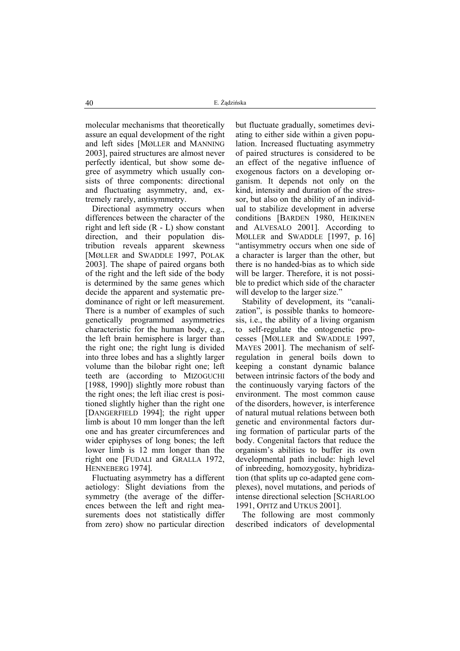molecular mechanisms that theoretically assure an equal development of the right and left sides [MØLLER and MANNING 2003], paired structures are almost never perfectly identical, but show some degree of asymmetry which usually consists of three components: directional and fluctuating asymmetry, and, extremely rarely, antisymmetry.

Directional asymmetry occurs when differences between the character of the right and left side (R - L) show constant direction, and their population distribution reveals apparent skewness [MØLLER and SWADDLE 1997, POLAK 2003]. The shape of paired organs both of the right and the left side of the body is determined by the same genes which decide the apparent and systematic predominance of right or left measurement. There is a number of examples of such genetically programmed asymmetries characteristic for the human body, e.g., the left brain hemisphere is larger than the right one; the right lung is divided into three lobes and has a slightly larger volume than the bilobar right one; left teeth are (according to MIZOGUCHI [1988, 1990]) slightly more robust than the right ones; the left iliac crest is positioned slightly higher than the right one [DANGERFIELD 1994]; the right upper limb is about 10 mm longer than the left one and has greater circumferences and wider epiphyses of long bones; the left lower limb is 12 mm longer than the right one [FUDALI and GRALLA 1972, HENNEBERG 1974].

Fluctuating asymmetry has a different aetiology: Slight deviations from the symmetry (the average of the differences between the left and right measurements does not statistically differ from zero) show no particular direction but fluctuate gradually, sometimes deviating to either side within a given population. Increased fluctuating asymmetry of paired structures is considered to be an effect of the negative influence of exogenous factors on a developing organism. It depends not only on the kind, intensity and duration of the stressor, but also on the ability of an individual to stabilize development in adverse conditions [BARDEN 1980, HEIKINEN and ALVESALO 2001]. According to MØLLER and SWADDLE [1997, p. 16] "antisymmetry occurs when one side of a character is larger than the other, but there is no handed-bias as to which side will be larger. Therefore, it is not possible to predict which side of the character will develop to the larger size."

Stability of development, its "canalization", is possible thanks to homeoresis, i.e., the ability of a living organism to self-regulate the ontogenetic processes [MØLLER and SWADDLE 1997, MAYES 2001]. The mechanism of selfregulation in general boils down to keeping a constant dynamic balance between intrinsic factors of the body and the continuously varying factors of the environment. The most common cause of the disorders, however, is interference of natural mutual relations between both genetic and environmental factors during formation of particular parts of the body. Congenital factors that reduce the organism's abilities to buffer its own developmental path include: high level of inbreeding, homozygosity, hybridization (that splits up co-adapted gene complexes), novel mutations, and periods of intense directional selection [SCHARLOO 1991, OPITZ and UTKUS 2001].

The following are most commonly described indicators of developmental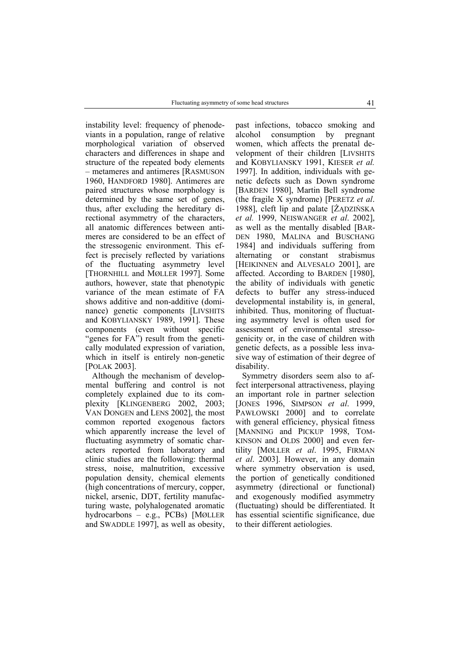instability level: frequency of phenodeviants in a population, range of relative morphological variation of observed characters and differences in shape and structure of the repeated body elements – metameres and antimeres [RASMUSON 1960, HANDFORD 1980]. Antimeres are paired structures whose morphology is determined by the same set of genes, thus, after excluding the hereditary directional asymmetry of the characters, all anatomic differences between antimeres are considered to be an effect of the stressogenic environment. This effect is precisely reflected by variations of the fluctuating asymmetry level [THORNHILL and MØLLER 1997]. Some authors, however, state that phenotypic variance of the mean estimate of FA shows additive and non-additive (dominance) genetic components [LIVSHITS and KOBYLIANSKY 1989, 1991]. These components (even without specific "genes for FA") result from the genetically modulated expression of variation, which in itself is entirely non-genetic [POLAK 2003].

Although the mechanism of developmental buffering and control is not completely explained due to its complexity [KLINGENBERG 2002, 2003; VAN DONGEN and LENS 2002], the most common reported exogenous factors which apparently increase the level of fluctuating asymmetry of somatic characters reported from laboratory and clinic studies are the following: thermal stress, noise, malnutrition, excessive population density, chemical elements (high concentrations of mercury, copper, nickel, arsenic, DDT, fertility manufacturing waste, polyhalogenated aromatic hydrocarbons – e.g., PCBs) [MØLLER and SWADDLE 1997], as well as obesity,

past infections, tobacco smoking and alcohol consumption by pregnant women, which affects the prenatal development of their children [LIVSHITS and KOBYLIANSKY 1991, KIESER *et al.* 1997]. In addition, individuals with genetic defects such as Down syndrome [BARDEN 1980], Martin Bell syndrome (the fragile X syndrome) [PERETZ *et al*. 1988], cleft lip and palate [ŻĄDZIŃSKA *et al.* 1999, NEISWANGER *et al*. 2002], as well as the mentally disabled [BAR-DEN 1980, MALINA and BUSCHANG 1984] and individuals suffering from alternating or constant strabismus [HEIKINNEN and ALVESALO 2001], are affected. According to BARDEN [1980], the ability of individuals with genetic defects to buffer any stress-induced developmental instability is, in general, inhibited. Thus, monitoring of fluctuating asymmetry level is often used for assessment of environmental stressogenicity or, in the case of children with genetic defects, as a possible less invasive way of estimation of their degree of disability.

Symmetry disorders seem also to affect interpersonal attractiveness, playing an important role in partner selection [JONES 1996, SIMPSON *et al*. 1999, PAWŁOWSKI 2000] and to correlate with general efficiency, physical fitness [MANNING and PICKUP 1998, TOM-KINSON and OLDS 2000] and even fertility [MØLLER *et al*. 1995, FIRMAN *et al*. 2003]. However, in any domain where symmetry observation is used, the portion of genetically conditioned asymmetry (directional or functional) and exogenously modified asymmetry (fluctuating) should be differentiated. It has essential scientific significance, due to their different aetiologies.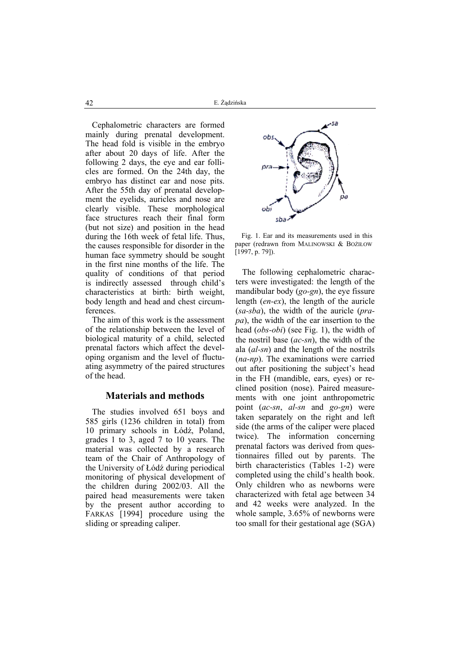42 E. Żądzińska

Cephalometric characters are formed mainly during prenatal development. The head fold is visible in the embryo after about 20 days of life. After the following 2 days, the eye and ear follicles are formed. On the 24th day, the embryo has distinct ear and nose pits. After the 55th day of prenatal development the eyelids, auricles and nose are clearly visible. These morphological face structures reach their final form (but not size) and position in the head during the 16th week of fetal life. Thus, the causes responsible for disorder in the human face symmetry should be sought in the first nine months of the life. The quality of conditions of that period is indirectly assessed through child's characteristics at birth: birth weight, body length and head and chest circumferences.

The aim of this work is the assessment of the relationship between the level of biological maturity of a child, selected prenatal factors which affect the developing organism and the level of fluctuating asymmetry of the paired structures of the head.

#### **Materials and methods**

The studies involved 651 boys and 585 girls (1236 children in total) from 10 primary schools in Łódź, Poland, grades 1 to 3, aged 7 to 10 years. The material was collected by a research team of the Chair of Anthropology of the University of Łódź during periodical monitoring of physical development of the children during 2002/03. All the paired head measurements were taken by the present author according to FARKAS [1994] procedure using the sliding or spreading caliper.



Fig. 1. Ear and its measurements used in this paper (redrawn from MALINOWSKI & BOŻIŁOW [1997, p. 79]).

The following cephalometric characters were investigated: the length of the mandibular body (*go-gn*), the eye fissure length (*en-ex*), the length of the auricle (*sa-sba*), the width of the auricle (*prapa*), the width of the ear insertion to the head (*obs-obi*) (see Fig. 1), the width of the nostril base (*ac-sn*), the width of the ala (*al-sn*) and the length of the nostrils (*na-np*). The examinations were carried out after positioning the subject's head in the FH (mandible, ears, eyes) or reclined position (nose). Paired measurements with one joint anthropometric point (*ac-sn*, *al-sn* and *go-gn*) were taken separately on the right and left side (the arms of the caliper were placed twice). The information concerning prenatal factors was derived from questionnaires filled out by parents. The birth characteristics (Tables 1-2) were completed using the child's health book. Only children who as newborns were characterized with fetal age between 34 and 42 weeks were analyzed. In the whole sample, 3.65% of newborns were too small for their gestational age (SGA)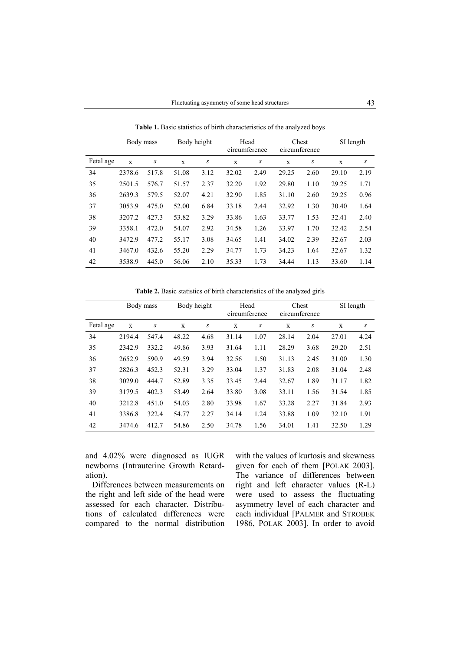Body mass Body height Head circumference Chest circumference SI length Fetal age  $\bar{x}$  *s*  $\bar{x}$  *s*  $\bar{x}$  *s*  $\bar{x}$  *s*  $\bar{x}$  *s* 34 2378.6 517.8 51.08 3.12 32.02 2.49 29.25 2.60 29.10 2.19 35 2501.5 576.7 51.57 2.37 32.20 1.92 29.80 1.10 29.25 1.71 36 2639.3 579.5 52.07 4.21 32.90 1.85 31.10 2.60 29.25 0.96 37 3053.9 475.0 52.00 6.84 33.18 2.44 32.92 1.30 30.40 1.64 38 3207.2 427.3 53.82 3.29 33.86 1.63 33.77 1.53 32.41 2.40 39 3358.1 472.0 54.07 2.92 34.58 1.26 33.97 1.70 32.42 2.54 40 3472.9 477.2 55.17 3.08 34.65 1.41 34.02 2.39 32.67 2.03 41 3467.0 432.6 55.20 2.29 34.77 1.73 34.23 1.64 32.67 1.32 42 3538.9 445.0 56.06 2.10 35.33 1.73 34.44 1.13 33.60 1.14

**Table 1.** Basic statistics of birth characteristics of the analyzed boys

**Table 2.** Basic statistics of birth characteristics of the analyzed girls

|           | Body mass      |       |                | Body height |              | Chest<br>Head<br>circumference<br>circumference |                |      |             | SI length |
|-----------|----------------|-------|----------------|-------------|--------------|-------------------------------------------------|----------------|------|-------------|-----------|
| Fetal age | $\overline{x}$ | S     | $\overline{x}$ | S           | $\mathbf{x}$ | S                                               | $\overline{x}$ | S    | $\mathbf x$ | S         |
| 34        | 2194.4         | 547.4 | 48.22          | 4.68        | 31.14        | 1.07                                            | 28.14          | 2.04 | 27.01       | 4.24      |
| 35        | 2342.9         | 332.2 | 49.86          | 3.93        | 31.64        | 1.11                                            | 28.29          | 3.68 | 29.20       | 2.51      |
| 36        | 2652.9         | 590.9 | 49.59          | 3.94        | 32.56        | 1.50                                            | 31.13          | 2.45 | 31.00       | 1.30      |
| 37        | 2826.3         | 452.3 | 52.31          | 3.29        | 33.04        | 1.37                                            | 31.83          | 2.08 | 31.04       | 2.48      |
| 38        | 3029.0         | 444.7 | 52.89          | 3.35        | 33.45        | 2.44                                            | 32.67          | 1.89 | 31.17       | 1.82      |
| 39        | 3179.5         | 402.3 | 53.49          | 2.64        | 33.80        | 3.08                                            | 33.11          | 1.56 | 31.54       | 1.85      |
| 40        | 3212.8         | 451.0 | 54.03          | 2.80        | 33.98        | 1.67                                            | 33.28          | 2.27 | 31.84       | 2.93      |
| 41        | 3386.8         | 322.4 | 54.77          | 2.27        | 34.14        | 1.24                                            | 33.88          | 1.09 | 32.10       | 1.91      |
| 42        | 3474.6         | 412.7 | 54.86          | 2.50        | 34.78        | 1.56                                            | 34.01          | 1.41 | 32.50       | 1.29      |

and 4.02% were diagnosed as IUGR newborns (Intrauterine Growth Retardation).

Differences between measurements on the right and left side of the head were assessed for each character. Distributions of calculated differences were compared to the normal distribution

with the values of kurtosis and skewness given for each of them [POLAK 2003]. The variance of differences between right and left character values (R-L) were used to assess the fluctuating asymmetry level of each character and each individual [PALMER and STROBEK 1986, POLAK 2003]. In order to avoid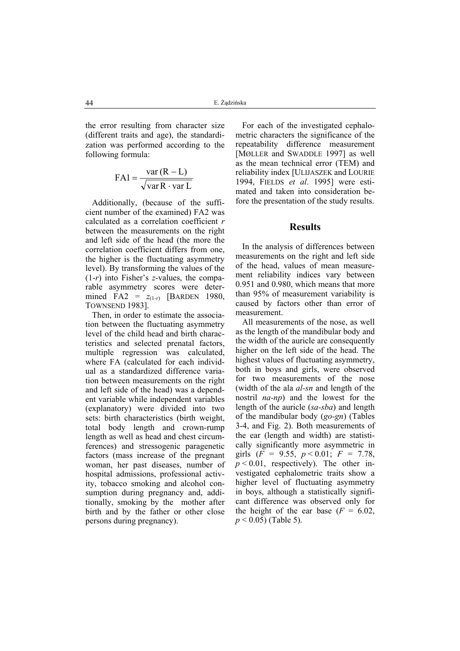the error resulting from character size (different traits and age), the standardization was performed according to the following formula:

$$
FA1 = \frac{var(R - L)}{\sqrt{varR \cdot varL}}
$$

Additionally, (because of the sufficient number of the examined) FA2 was calculated as a correlation coefficient *r* between the measurements on the right and left side of the head (the more the correlation coefficient differs from one, the higher is the fluctuating asymmetry level). By transforming the values of the (1-*r*) into Fisher's *z*-values, the comparable asymmetry scores were determined FA2 =  $z_{(1-r)}$  [BARDEN 1980, TOWNSEND 1983].

Then, in order to estimate the association between the fluctuating asymmetry level of the child head and birth characteristics and selected prenatal factors, multiple regression was calculated, where FA (calculated for each individual as a standardized difference variation between measurements on the right and left side of the head) was a dependent variable while independent variables (explanatory) were divided into two sets: birth characteristics (birth weight, total body length and crown-rump length as well as head and chest circumferences) and stressogenic paragenetic factors (mass increase of the pregnant woman, her past diseases, number of hospital admissions, professional activity, tobacco smoking and alcohol consumption during pregnancy and, additionally, smoking by the mother after birth and by the father or other close persons during pregnancy).

For each of the investigated cephalometric characters the significance of the repeatability difference measurement [MØLLER and SWADDLE 1997] as well as the mean technical error (TEM) and reliability index [ULIJASZEK and LOURIE 1994, FIELDS *et al*. 1995] were estimated and taken into consideration before the presentation of the study results.

#### **Results**

In the analysis of differences between measurements on the right and left side of the head, values of mean measurement reliability indices vary between 0.951 and 0.980, which means that more than 95% of measurement variability is caused by factors other than error of measurement.

All measurements of the nose, as well as the length of the mandibular body and the width of the auricle are consequently higher on the left side of the head. The highest values of fluctuating asymmetry, both in boys and girls, were observed for two measurements of the nose (width of the ala *al-sn* and length of the nostril *na-np*) and the lowest for the length of the auricle (*sa-sba*) and length of the mandibular body (*go-gn*) (Tables 3-4, and Fig. 2). Both measurements of the ear (length and width) are statistically significantly more asymmetric in girls  $(F = 9.55, p < 0.01; F = 7.78,$  $p \le 0.01$ , respectively). The other investigated cephalometric traits show a higher level of fluctuating asymmetry in boys, although a statistically significant difference was observed only for the height of the ear base  $(F = 6.02,$ *p* < 0.05) (Table 5).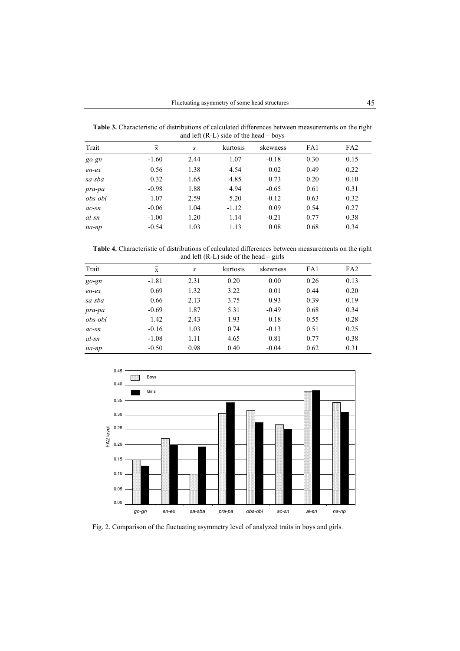**Table 3.** Characteristic of distributions of calculated differences between measurements on the right and left (R-L) side of the head – boys

| Trait    | $\overline{x}$ | S    | kurtosis | skewness | FA1  | FA <sub>2</sub> |
|----------|----------------|------|----------|----------|------|-----------------|
| $go$ -gn | $-1.60$        | 2.44 | 1.07     | $-0.18$  | 0.30 | 0.15            |
| $en-ex$  | 0.56           | 1.38 | 4.54     | 0.02     | 0.49 | 0.22            |
| sa-sba   | 0.32           | 1.65 | 4.85     | 0.73     | 0.20 | 0.10            |
| pra-pa   | $-0.98$        | 1.88 | 4.94     | $-0.65$  | 0.61 | 0.31            |
| obs-obi  | 1.07           | 2.59 | 5.20     | $-0.12$  | 0.63 | 0.32            |
| $ac$ -sn | $-0.06$        | 1.04 | $-1.12$  | 0.09     | 0.54 | 0.27            |
| al-sn    | $-1.00$        | 1.20 | 1.14     | $-0.21$  | 0.77 | 0.38            |
| na-np    | $-0.54$        | 1.03 | 1.13     | 0.08     | 0.68 | 0.34            |

**Table 4.** Characteristic of distributions of calculated differences between measurements on the right and left (R-L) side of the head – girls

| Trait    | $\mathbf{x}$ | S    | kurtosis | skewness | FA1  | FA <sub>2</sub> |
|----------|--------------|------|----------|----------|------|-----------------|
| $go$ -gn | $-1.81$      | 2.31 | 0.20     | 0.00     | 0.26 | 0.13            |
| $en-ex$  | 0.69         | 1.32 | 3.22     | 0.01     | 0.44 | 0.20            |
| sa-sba   | 0.66         | 2.13 | 3.75     | 0.93     | 0.39 | 0.19            |
| pra-pa   | $-0.69$      | 1.87 | 5.31     | $-0.49$  | 0.68 | 0.34            |
| obs-obi  | 1.42         | 2.43 | 1.93     | 0.18     | 0.55 | 0.28            |
| $ac$ -sn | $-0.16$      | 1.03 | 0.74     | $-0.13$  | 0.51 | 0.25            |
| al-sn    | $-1.08$      | 1.11 | 4.65     | 0.81     | 0.77 | 0.38            |
| na-np    | $-0.50$      | 0.98 | 0.40     | $-0.04$  | 0.62 | 0.31            |



Fig. 2. Comparison of the fluctuating asymmetry level of analyzed traits in boys and girls.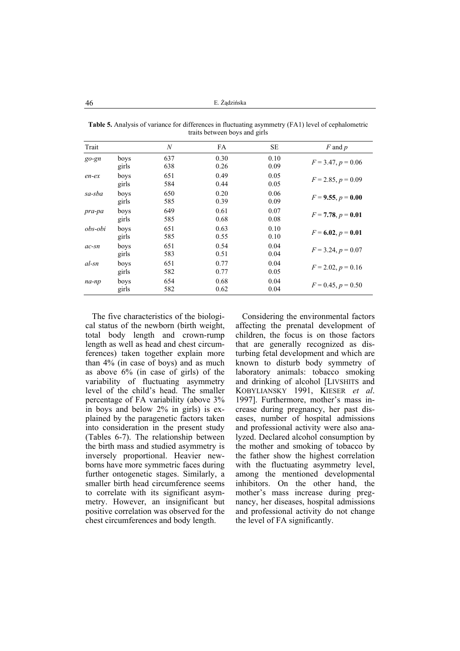46 E. Żądzińska

| Trait    |               | $\boldsymbol{N}$ | FA           | <b>SE</b>    | $F$ and $p$          |
|----------|---------------|------------------|--------------|--------------|----------------------|
| $go$ -gn | boys<br>girls | 637<br>638       | 0.30<br>0.26 | 0.10<br>0.09 | $F = 3.47, p = 0.06$ |
| $en-ex$  | boys<br>girls | 651<br>584       | 0.49<br>0.44 | 0.05<br>0.05 | $F = 2.85, p = 0.09$ |
| sa-sba   | boys<br>girls | 650<br>585       | 0.20<br>0.39 | 0.06<br>0.09 | $F = 9.55, p = 0.00$ |
| pra-pa   | boys<br>girls | 649<br>585       | 0.61<br>0.68 | 0.07<br>0.08 | $F = 7.78, p = 0.01$ |
| obs-obi  | boys<br>girls | 651<br>585       | 0.63<br>0.55 | 0.10<br>0.10 | $F = 6.02, p = 0.01$ |
| $ac$ -sn | boys<br>girls | 651<br>583       | 0.54<br>0.51 | 0.04<br>0.04 | $F = 3.24, p = 0.07$ |
| al-sn    | boys<br>girls | 651<br>582       | 0.77<br>0.77 | 0.04<br>0.05 | $F = 2.02, p = 0.16$ |
| na-np    | boys<br>girls | 654<br>582       | 0.68<br>0.62 | 0.04<br>0.04 | $F = 0.45, p = 0.50$ |

**Table 5.** Analysis of variance for differences in fluctuating asymmetry (FA1) level of cephalometric traits between boys and girls

The five characteristics of the biological status of the newborn (birth weight, total body length and crown-rump length as well as head and chest circumferences) taken together explain more than 4% (in case of boys) and as much as above 6% (in case of girls) of the variability of fluctuating asymmetry level of the child's head. The smaller percentage of FA variability (above 3% in boys and below 2% in girls) is explained by the paragenetic factors taken into consideration in the present study (Tables 6-7). The relationship between the birth mass and studied asymmetry is inversely proportional. Heavier newborns have more symmetric faces during further ontogenetic stages. Similarly, a smaller birth head circumference seems to correlate with its significant asymmetry. However, an insignificant but positive correlation was observed for the chest circumferences and body length.

Considering the environmental factors affecting the prenatal development of children, the focus is on those factors that are generally recognized as disturbing fetal development and which are known to disturb body symmetry of laboratory animals: tobacco smoking and drinking of alcohol [LIVSHITS and KOBYLIANSKY 1991, KIESER *et al*. 1997]. Furthermore, mother's mass increase during pregnancy, her past diseases, number of hospital admissions and professional activity were also analyzed. Declared alcohol consumption by the mother and smoking of tobacco by the father show the highest correlation with the fluctuating asymmetry level, among the mentioned developmental inhibitors. On the other hand, the mother's mass increase during pregnancy, her diseases, hospital admissions and professional activity do not change the level of FA significantly.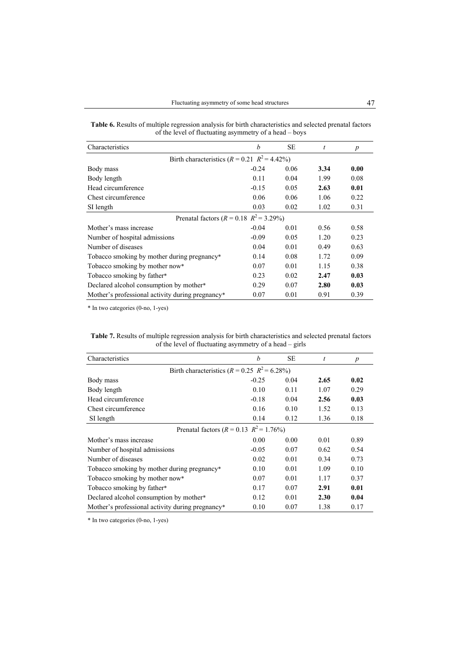|  |                                                        | <b>Table 6.</b> Results of multiple regression analysis for birth characteristics and selected prenatal factors |
|--|--------------------------------------------------------|-----------------------------------------------------------------------------------------------------------------|
|  | of the level of fluctuating asymmetry of a head – boys |                                                                                                                 |

| Characteristics                                   | b       | <b>SE</b> | t    | $\boldsymbol{p}$ |
|---------------------------------------------------|---------|-----------|------|------------------|
| Birth characteristics $(R = 0.21 \ R^2 = 4.42\%)$ |         |           |      |                  |
| Body mass                                         | $-0.24$ | 0.06      | 3.34 | 0.00             |
| Body length                                       | 0.11    | 0.04      | 1.99 | 0.08             |
| Head circumference                                | $-0.15$ | 0.05      | 2.63 | 0.01             |
| Chest circumference                               | 0.06    | 0.06      | 1.06 | 0.22             |
| SI length                                         | 0.03    | 0.02      | 1.02 | 0.31             |
| Prenatal factors ( $R = 0.18$ $R^2 = 3.29\%$ )    |         |           |      |                  |
| Mother's mass increase                            | $-0.04$ | 0.01      | 0.56 | 0.58             |
| Number of hospital admissions                     | $-0.09$ | 0.05      | 1.20 | 0.23             |
| Number of diseases                                | 0.04    | 0.01      | 0.49 | 0.63             |
| Tobacco smoking by mother during pregnancy*       | 0.14    | 0.08      | 1.72 | 0.09             |
| Tobacco smoking by mother now*                    | 0.07    | 0.01      | 1.15 | 0.38             |
| Tobacco smoking by father*                        | 0.23    | 0.02      | 2.47 | 0.03             |
| Declared alcohol consumption by mother*           | 0.29    | 0.07      | 2.80 | 0.03             |
| Mother's professional activity during pregnancy*  | 0.07    | 0.01      | 0.91 | 0.39             |

\* In two categories (0-no, 1-yes)

| <b>Table 7.</b> Results of multiple regression analysis for birth characteristics and selected prenatal factors |                                                         |  |  |
|-----------------------------------------------------------------------------------------------------------------|---------------------------------------------------------|--|--|
|                                                                                                                 | of the level of fluctuating asymmetry of a head – girls |  |  |

| Characteristics                                     | b       | <b>SE</b> | t    | $\boldsymbol{p}$ |
|-----------------------------------------------------|---------|-----------|------|------------------|
| Birth characteristics ( $R = 0.25$ $R^2 = 6.28\%$ ) |         |           |      |                  |
| Body mass                                           | $-0.25$ | 0.04      | 2.65 | 0.02             |
| Body length                                         | 0.10    | 0.11      | 1.07 | 0.29             |
| Head circumference                                  | $-0.18$ | 0.04      | 2.56 | 0.03             |
| Chest circumference                                 | 0.16    | 0.10      | 1.52 | 0.13             |
| SI length                                           | 0.14    | 0.12      | 1.36 | 0.18             |
| Prenatal factors ( $R = 0.13$ $R^2 = 1.76\%$ )      |         |           |      |                  |
| Mother's mass increase                              | 0.00    | 0.00      | 0.01 | 0.89             |
| Number of hospital admissions                       | $-0.05$ | 0.07      | 0.62 | 0.54             |
| Number of diseases                                  | 0.02    | 0.01      | 0.34 | 0.73             |
| Tobacco smoking by mother during pregnancy*         | 0.10    | 0.01      | 1.09 | 0.10             |
| Tobacco smoking by mother now*                      | 0.07    | 0.01      | 1.17 | 0.37             |
| Tobacco smoking by father*                          | 0.17    | 0.07      | 2.91 | 0.01             |
| Declared alcohol consumption by mother*             | 0.12    | 0.01      | 2.30 | 0.04             |
| Mother's professional activity during pregnancy*    | 0.10    | 0.07      | 1.38 | 0.17             |

\* In two categories (0-no, 1-yes)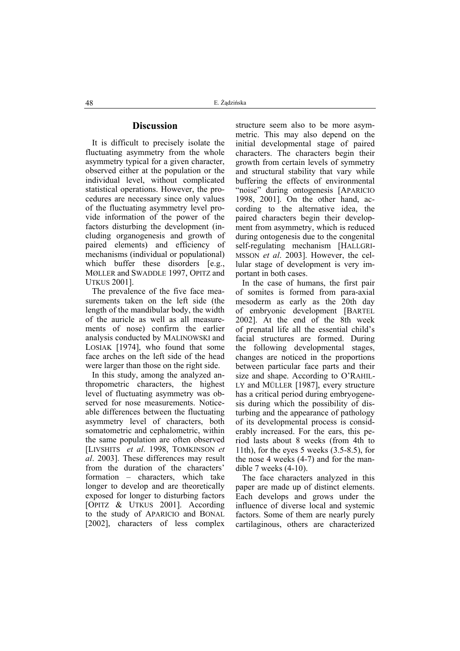# **Discussion**

It is difficult to precisely isolate the fluctuating asymmetry from the whole asymmetry typical for a given character, observed either at the population or the individual level, without complicated statistical operations. However, the procedures are necessary since only values of the fluctuating asymmetry level provide information of the power of the factors disturbing the development (including organogenesis and growth of paired elements) and efficiency of mechanisms (individual or populational) which buffer these disorders [e.g., MØLLER and SWADDLE 1997, OPITZ and UTKUS 2001].

The prevalence of the five face measurements taken on the left side (the length of the mandibular body, the width of the auricle as well as all measurements of nose) confirm the earlier analysis conducted by MALINOWSKI and LOSIAK [1974], who found that some face arches on the left side of the head were larger than those on the right side.

In this study, among the analyzed anthropometric characters, the highest level of fluctuating asymmetry was observed for nose measurements. Noticeable differences between the fluctuating asymmetry level of characters, both somatometric and cephalometric, within the same population are often observed [LIVSHITS *et al*. 1998, TOMKINSON *et al*. 2003]. These differences may result from the duration of the characters' formation – characters, which take longer to develop and are theoretically exposed for longer to disturbing factors [OPITZ & UTKUS 2001]. According to the study of APARICIO and BONAL [2002], characters of less complex structure seem also to be more asymmetric. This may also depend on the initial developmental stage of paired characters. The characters begin their growth from certain levels of symmetry and structural stability that vary while buffering the effects of environmental "noise" during ontogenesis [APARICIO 1998, 2001]. On the other hand, according to the alternative idea, the paired characters begin their development from asymmetry, which is reduced during ontogenesis due to the congenital self-regulating mechanism [HALLGRI-MSSON *et al*. 2003]. However, the cellular stage of development is very important in both cases.

In the case of humans, the first pair of somites is formed from para-axial mesoderm as early as the 20th day of embryonic development [BARTEL 2002]. At the end of the 8th week of prenatal life all the essential child's facial structures are formed. During the following developmental stages, changes are noticed in the proportions between particular face parts and their size and shape. According to O'RAHIL-LY and MÜLLER [1987], every structure has a critical period during embryogenesis during which the possibility of disturbing and the appearance of pathology of its developmental process is considerably increased. For the ears, this period lasts about 8 weeks (from 4th to 11th), for the eyes 5 weeks (3.5-8.5), for the nose 4 weeks (4-7) and for the mandible 7 weeks (4-10).

The face characters analyzed in this paper are made up of distinct elements. Each develops and grows under the influence of diverse local and systemic factors. Some of them are nearly purely cartilaginous, others are characterized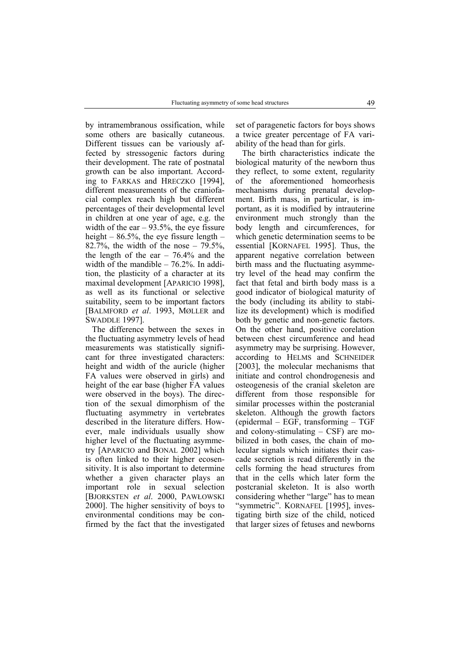by intramembranous ossification, while some others are basically cutaneous. Different tissues can be variously affected by stressogenic factors during their development. The rate of postnatal growth can be also important. According to FARKAS and HRECZKO [1994], different measurements of the craniofacial complex reach high but different percentages of their developmental level in children at one year of age, e.g. the width of the ear  $-93.5%$ , the eye fissure height –  $86.5\%$ , the eye fissure length – 82.7%, the width of the nose  $-79.5%$ , the length of the ear  $-76.4%$  and the width of the mandible – 76.2%. In addition, the plasticity of a character at its maximal development [APARICIO 1998], as well as its functional or selective suitability, seem to be important factors [BALMFORD *et al*. 1993, MØLLER and SWADDLE 1997].

The difference between the sexes in the fluctuating asymmetry levels of head measurements was statistically significant for three investigated characters: height and width of the auricle (higher FA values were observed in girls) and height of the ear base (higher FA values were observed in the boys). The direction of the sexual dimorphism of the fluctuating asymmetry in vertebrates described in the literature differs. However, male individuals usually show higher level of the fluctuating asymmetry [APARICIO and BONAL 2002] which is often linked to their higher ecosensitivity. It is also important to determine whether a given character plays an important role in sexual selection [BJORKSTEN *et al*. 2000, PAWŁOWSKI 2000]. The higher sensitivity of boys to environmental conditions may be confirmed by the fact that the investigated set of paragenetic factors for boys shows a twice greater percentage of FA variability of the head than for girls.

The birth characteristics indicate the biological maturity of the newborn thus they reflect, to some extent, regularity of the aforementioned homeorhesis mechanisms during prenatal development. Birth mass, in particular, is important, as it is modified by intrauterine environment much strongly than the body length and circumferences, for which genetic determination seems to be essential [KORNAFEL 1995]. Thus, the apparent negative correlation between birth mass and the fluctuating asymmetry level of the head may confirm the fact that fetal and birth body mass is a good indicator of biological maturity of the body (including its ability to stabilize its development) which is modified both by genetic and non-genetic factors. On the other hand, positive corelation between chest circumference and head asymmetry may be surprising. However, according to HELMS and SCHNEIDER [2003], the molecular mechanisms that initiate and control chondrogenesis and osteogenesis of the cranial skeleton are different from those responsible for similar processes within the postcranial skeleton. Although the growth factors (epidermal – EGF, transforming – TGF and colony-stimulating – CSF) are mobilized in both cases, the chain of molecular signals which initiates their cascade secretion is read differently in the cells forming the head structures from that in the cells which later form the postcranial skeleton. It is also worth considering whether "large" has to mean "symmetric". KORNAFEL [1995], investigating birth size of the child, noticed that larger sizes of fetuses and newborns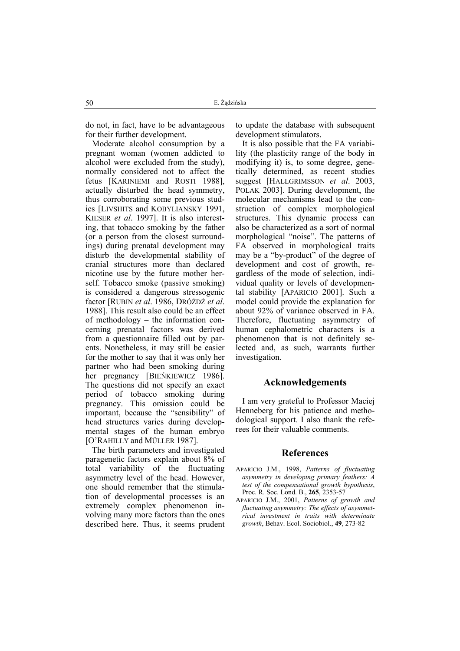do not, in fact, have to be advantageous for their further development.

Moderate alcohol consumption by a pregnant woman (women addicted to alcohol were excluded from the study), normally considered not to affect the fetus [KARINIEMI and ROSTI 1988], actually disturbed the head symmetry, thus corroborating some previous studies [LIVSHITS and KOBYLIANSKY 1991, KIESER *et al*. 1997]. It is also interesting, that tobacco smoking by the father (or a person from the closest surroundings) during prenatal development may disturb the developmental stability of cranial structures more than declared nicotine use by the future mother herself. Tobacco smoke (passive smoking) is considered a dangerous stressogenic factor [RUBIN *et al*. 1986, DRÓŻDŻ *et al*. 1988]. This result also could be an effect of methodology – the information concerning prenatal factors was derived from a questionnaire filled out by parents. Nonetheless, it may still be easier for the mother to say that it was only her partner who had been smoking during her pregnancy [BIEŃKIEWICZ 1986]. The questions did not specify an exact period of tobacco smoking during pregnancy. This omission could be important, because the "sensibility" of head structures varies during developmental stages of the human embryo [O'RAHILLY and MÜLLER 1987].

The birth parameters and investigated paragenetic factors explain about 8% of total variability of the fluctuating asymmetry level of the head. However, one should remember that the stimulation of developmental processes is an extremely complex phenomenon involving many more factors than the ones described here. Thus, it seems prudent

to update the database with subsequent development stimulators.

It is also possible that the FA variability (the plasticity range of the body in modifying it) is, to some degree, genetically determined, as recent studies suggest [HALLGRIMSSON *et al*. 2003, POLAK 2003]. During development, the molecular mechanisms lead to the construction of complex morphological structures. This dynamic process can also be characterized as a sort of normal morphological "noise". The patterns of FA observed in morphological traits may be a "by-product" of the degree of development and cost of growth, regardless of the mode of selection, individual quality or levels of developmental stability [APARICIO 2001]. Such a model could provide the explanation for about 92% of variance observed in FA. Therefore, fluctuating asymmetry of human cephalometric characters is a phenomenon that is not definitely selected and, as such, warrants further investigation.

# **Acknowledgements**

I am very grateful to Professor Maciej Henneberg for his patience and methodological support. I also thank the referees for their valuable comments.

#### **References**

- APARICIO J.M., 1998, *Patterns of fluctuating asymmetry in developing primary feathers: A test of the compensational growth hypothesis*, Proc. R. Soc. Lond. B., **265**, 2353-57
- APARICIO J.M., 2001, *Patterns of growth and fluctuating asymmetry: The effects of asymmetrical investment in traits with determinate growth*, Behav. Ecol. Sociobiol., **49**, 273-82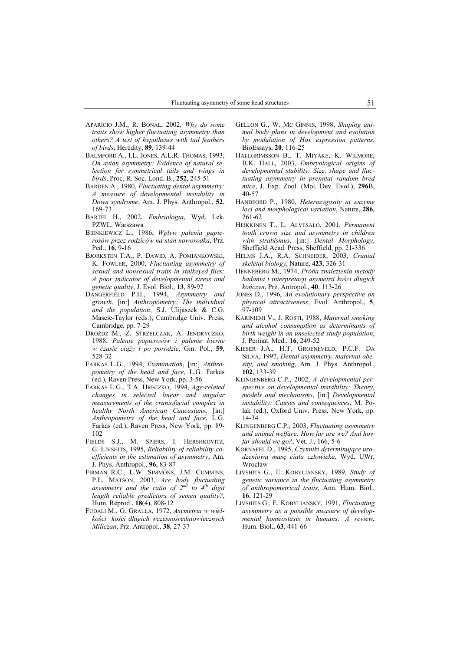- APARICIO J.M., R. BONAL, 2002, *Why do some traits show higher fluctuating asymmetry than others? A test of hypotheses with tail feathers of birds*, Heredity, **89**, 139-44
- BALMFORD A., I.L. JONES, A.L.R. THOMAS, 1993, *On avian asymmetry: Evidence of natural selection for symmetrical tails and wings in birds*, Proc. R. Soc. Lond. B., **252**, 245-51
- BARDEN A., 1980, *Fluctuating dental asymmetry: A measure of developmental instability in Down syndrome*, Am. J. Phys. Anthropol., **52**, 169-73
- BARTEL H., 2002, *Embriologia*, Wyd. Lek. PZWL, Warszawa
- BIEŃKIEWICZ L., 1986, *Wpływ palenia papierosów przez rodziców na stan noworodka*, Prz. Ped., **16**, 9-16
- BJORKSTEN T.A., P. DAWID, A. POMIANKOWSKI, K. FOWLER, 2000, *Fluctuating asymmetry of sexual and nonsexual traits in stalkeyed flies: A poor indicator of developmental stress and genetic quality*, J. Evol. Biol., **13**, 89-97
- DANGERFIELD P.H., 1994, *Asymmetry and growth*, [in:] *Anthropometry: The individual and the population*, S.J. Ulijaszek & C.G. Mascie-Taylor (eds.), Cambridge Univ. Press, Cambridge, pp. 7-29
- DRÓŻDŻ M., Z. STRZELCZAK, A. JENDRYCZKO, 1988, *Palenie papierosów i palenie bierne w czasie ciąży i po porodzie*, Gin. Pol., **59**, 528-32
- FARKAS L.G., 1994, *Examination*, [in:] *Anthropometry of the head and face*, L.G. Farkas (ed.), Raven Press, New York, pp. 3-56
- FARKAS L.G., T.A. HRECZKO, 1994, *Age-related changes in selected linear and angular measurements of the craniofacial complex in healthy North American Caucasians*, [in:] *Anthropometry of the head and face*, L.G. Farkas (ed.), Raven Press, New York, pp. 89- 102
- FIELDS S.J., M. SPIERS, I. HERSHKOVITZ, G. LIVSHITS, 1995, *Reliability of reliability coefficients in the estimation of asymmetry*, Am. J. Phys. Anthropol., **96**, 83-87
- FIRMAN R.C., L.W. SIMMONS, J.M. CUMMINS, P.L. MATSON, 2003, *Are body fluctuating asymmetry and the ratio of 2nd to 4th digit length reliable predictors of semen quality?*, Hum. Reprod., **18**(4), 808-12
- FUDALI M., G. GRALLA, 1972, *Asymetria w wielkości kości długich wczesnośredniowiecznych Miliczan*, Prz. Antropol., **38**, 27-37
- GELLON G., W. MC GINNIS, 1998, *Shaping animal body plans in development and evolution by modulation of Hox expression patterns*, BioEssays, **20**, 116-25
- HALLGRÍMSSON B., T. MIYAKE, K. WILMORE, B.K. HALL, 2003, *Embryological origins of developmental stability: Size, shape and fluctuating asymmetry in prenatal random bred mice*, J. Exp. Zool. (Mol. Dev. Evol.), **296**B, 40-57
- HANDFORD P., 1980, *Heterozygosity at enzyme loci and morphological variation*, Nature, **286**, 261-62
- HEIKKINEN T., L. ALVESALO, 2001, *Permanent tooth crown size and asymmetry in children with strabismus*, [in:] *Dental Morphology*, Sheffield Acad. Press, Sheffield, pp. 21-336
- HELMS J.A., R.A. SCHNEIDER, 2003, *Cranial skeletal biology*, Nature, **423**, 326-31
- HENNEBERG M., 1974, *Próba znalezienia metody badania i interpretacji asymetrii kości długich kończyn*, Prz. Antropol., **40**, 113-26
- JONES D., 1996, *An evolutionary perspective on physical attractiveness*, Evol. Anthropol., **5**, 97-109
- KARINIEMI V., J. ROSTI, 1988, *Maternal smoking and alcohol consumption as determinants of birth weight in an unselected study population*, J. Perinat. Med., **16**, 249-52
- KIESER J.A., H.T. GROENEVELD, P.C.F. DA SILVA, 1997, *Dental asymmetry, maternal obesity, and smoking*, Am. J. Phys. Anthropol., **102**, 133-39
- KLINGENBERG C.P., 2002, *A developmental perspective on developmental instability: Theory, models and mechanisms*, [in:] *Developmental instability: Causes and consequences*, M. Polak (ed.), Oxford Univ. Press, New York, pp. 14-34
- KLINGENBERG C.P., 2003, *Fluctuating asymmetry and animal welfare: How far are we? And how far should we go?*, Vet. J., 166, 5-6
- KORNAFEL D., 1995, *Czynniki determinujące urodzeniową masę ciała człowieka*, Wyd. UWr, Wrocław
- LIVSHITS G., E. KOBYLIANSKY, 1989, *Study of genetic variance in the fluctuating asymmetry of anthropometrical traits*, Ann. Hum. Biol., **16**, 121-29
- LIVSHITS G., E. KOBYLIANSKY, 1991, *Fluctuating asymmetry as a possible measure of developmental homeostasis in humans: A review*, Hum. Biol., **63**, 441-66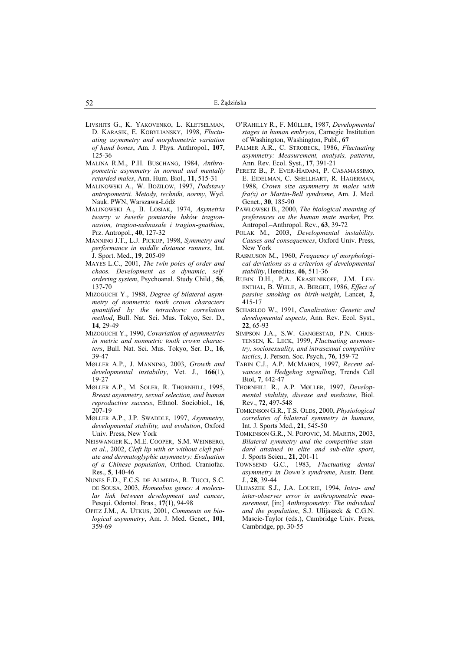- LIVSHITS G., K. YAKOVENKO, L. KLETSELMAN, D. KARASIK, E. KOBYLIANSKY, 1998, *Fluctuating asymmetry and morphometric variation of hand bones*, Am. J. Phys. Anthropol., **107**, 125-36
- MALINA R.M., P.H. BUSCHANG, 1984, *Anthropometric asymmetry in normal and mentally retarded males*, Ann. Hum. Biol., **11**, 515-31
- MALINOWSKI A., W. BOŻIŁOW, 1997, *Podstawy antropometrii. Metody, techniki, normy*, Wyd. Nauk. PWN, Warszawa-Łódź
- MALINOWSKI A., B. LOSIAK, 1974, *Asymetria twarzy w świetle pomiarów łuków tragionnasion, tragion-subnasale i tragion-gnathion*, Prz. Antropol., **40**, 127-32
- MANNING J.T., L.J. PICKUP, 1998, *Symmetry and performance in middle distance runners*, Int. J. Sport. Med., **19**, 205-09
- MAYES L.C., 2001, *The twin poles of order and chaos. Development as a dynamic, selfordering system*, Psychoanal. Study Child., **56**, 137-70
- MIZOGUCHI Y., 1988, *Degree of bilateral asymmetry of nonmetric tooth crown characters quantified by the tetrachoric correlation method*, Bull. Nat. Sci. Mus. Tokyo, Ser. D., **14**, 29-49
- MIZOGUCHI Y., 1990, *Covariation of asymmetries in metric and nonmetric tooth crown characters*, Bull. Nat. Sci. Mus. Tokyo, Ser. D., **16**, 39-47
- MØLLER A.P., J. MANNING, 2003, *Growth and developmental instability*, Vet. J., **166**(1), 19-27
- MØLLER A.P., M. SOLER, R. THORNHILL, 1995, *Breast asymmetry, sexual selection, and human reproductive success*, Ethnol. Sociobiol., **16**,  $207 - 19$
- MØLLER A.P., J.P. SWADDLE, 1997, *Asymmetry, developmental stability, and evolution*, Oxford Univ. Press, New York
- NEISWANGER K., M.E. COOPER, S.M. WEINBERG, *et al*., 2002, *Cleft lip with or without cleft palate and dermatoglyphic asymmetry: Evaluation of a Chinese population*, Orthod. Craniofac. Res., **5**, 140-46
- NUNES F.D., F.C.S. DE ALMEIDA, R. TUCCI, S.C. DE SOUSA, 2003, *Homeobox genes: A molecular link between development and cancer*, Pesqui. Odontol. Bras., **17**(1), 94-98
- OPITZ J.M., A. UTKUS, 2001, *Comments on biological asymmetry*, Am. J. Med. Genet., **101**, 359-69
- O'RAHILLY R., F. MÜLLER, 1987, *Developmental stages in human embryos*, Carnegie Institution of Washington, Washington, Publ., **67**
- PALMER A.R., C. STROBECK, 1986, *Fluctuating asymmetry: Measurement, analysis, patterns*, Ann. Rev. Ecol. Syst., **17**, 391-21
- PERETZ B., P. EVER-HADANI, P. CASAMASSIMO, E. EIDELMAN, C. SHELLHART, R. HAGERMAN, 1988, *Crown size asymmetry in males with fra(x) or Martin-Bell syndrome*, Am. J. Med. Genet., **30**, 185-90
- PAWŁOWSKI B., 2000, *The biological meaning of preferences on the human mate market*, Prz. Antropol.–Anthropol. Rev., **63**, 39-72
- POLAK M., 2003, *Developmental instability. Causes and consequences*, Oxford Univ. Press, New York
- RASMUSON M., 1960, *Frequency of morphological deviations as a criterion of developmental stability*, Hereditas, **46**, 511-36
- RUBIN D.H., P.A. KRASILNIKOFF, J.M. LEV-ENTHAL, B. WEILE, A. BERGET, 1986, *Effect of passive smoking on birth-weight*, Lancet, **2**, 415-17
- SCHARLOO W., 1991, *Canalization: Genetic and developmental aspects*, Ann. Rev. Ecol. Syst., **22**, 65-93
- SIMPSON J.A., S.W. GANGESTAD, P.N. CHRIS-TENSEN, K. LECK, 1999, *Fluctuating asymmetry, sociosexuality, and intrasexual competitive tactics*, J. Person. Soc. Psych., **76**, 159-72
- TABIN C.J., A.P. MCMAHON, 1997, *Recent advances in Hedgehog signalling*, Trends Cell Biol, **7**, 442-47
- THORNHILL R., A.P. MØLLER, 1997, *Developmental stability, disease and medicine*, Biol. Rev., **72**, 497-548
- TOMKINSON G.R., T.S. OLDS, 2000, *Physiological correlates of bilateral symmetry in humans*, Int. J. Sports Med., **21**, 545-50
- TOMKINSON G.R., N. POPOVIĆ, M. MARTIN, 2003, *Bilateral symmetry and the competitive standard attained in elite and sub-elite sport*, J. Sports Scien., **21**, 201-11
- TOWNSEND G.C., 1983, *Fluctuating dental asymmetry in Down's syndrome*, Austr. Dent. J., **28**, 39-44
- ULIJASZEK S.J., J.A. LOURIE, 1994, *Intra- and inter-observer error in anthropometric measurement*, [in:] *Anthropometry: The individual and the population*, S.J. Ulijaszek & C.G.N. Mascie-Taylor (eds.), Cambridge Univ. Press, Cambridge, pp. 30-55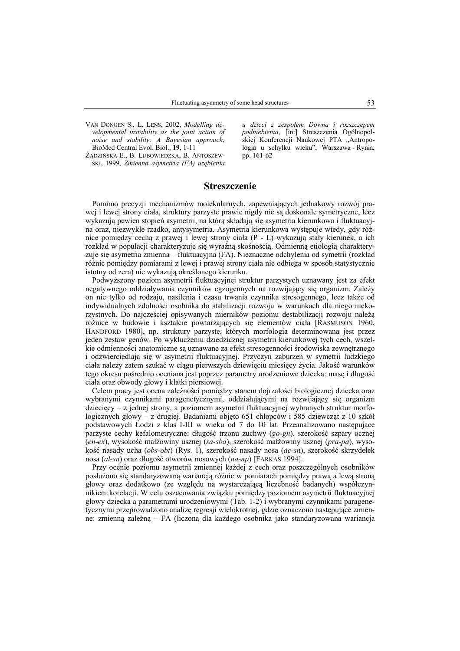VAN DONGEN S., L. LENS, 2002, *Modelling developmental instability as the joint action of noise and stability: A Bayesian approach*, BioMed Central Evol. Biol., **19**, 1-11

ŻĄDZIŃSKA E., B. LUBOWIEDZKA, B. ANTOSZEW-SKI, 1999, *Zmienna asymetria (FA) uzębienia*

*u dzieci z zespołem Downa i rozszczepem podniebienia*, [in:] Streszczenia Ogólnopolskiej Konferencji Naukowej PTA "Antropologia u schyłku wieku", Warszawa - Rynia, pp. 161-62

# **Streszczenie**

Pomimo precyzji mechanizmów molekularnych, zapewniających jednakowy rozwój prawej i lewej strony ciała, struktury parzyste prawie nigdy nie są doskonale symetryczne, lecz wykazują pewien stopień asymetrii, na którą składają się asymetria kierunkowa i fluktuacyjna oraz, niezwykle rzadko, antysymetria. Asymetria kierunkowa występuje wtedy, gdy różnice pomiędzy cechą z prawej i lewej strony ciała (P - L) wykazują stały kierunek, a ich rozkład w populacji charakteryzuje się wyraźną skośnością. Odmienną etiologią charakteryzuje się asymetria zmienna – fluktuacyjna (FA). Nieznaczne odchylenia od symetrii (rozkład różnic pomiędzy pomiarami z lewej i prawej strony ciała nie odbiega w sposób statystycznie istotny od zera) nie wykazują określonego kierunku.

Podwyższony poziom asymetrii fluktuacyjnej struktur parzystych uznawany jest za efekt negatywnego oddziaływania czynników egzogennych na rozwijający się organizm. Zależy on nie tylko od rodzaju, nasilenia i czasu trwania czynnika stresogennego, lecz także od indywidualnych zdolności osobnika do stabilizacji rozwoju w warunkach dla niego niekorzystnych. Do najczęściej opisywanych mierników poziomu destabilizacji rozwoju należą różnice w budowie i kształcie powtarzających się elementów ciała [RASMUSON 1960, HANDFORD 1980], np. struktury parzyste, których morfologia determinowana jest przez jeden zestaw genów. Po wykluczeniu dziedzicznej asymetrii kierunkowej tych cech, wszelkie odmienności anatomiczne są uznawane za efekt stresogenności środowiska zewnętrznego i odzwierciedlają się w asymetrii fluktuacyjnej. Przyczyn zaburzeń w symetrii ludzkiego ciała należy zatem szukać w ciągu pierwszych dziewięciu miesięcy życia. Jakość warunków tego okresu pośrednio oceniana jest poprzez parametry urodzeniowe dziecka: masę i długość ciała oraz obwody głowy i klatki piersiowej.

Celem pracy jest ocena zależności pomiędzy stanem dojrzałości biologicznej dziecka oraz wybranymi czynnikami paragenetycznymi, oddziałującymi na rozwijający się organizm dziecięcy – z jednej strony, a poziomem asymetrii fluktuacyjnej wybranych struktur morfologicznych głowy – z drugiej. Badaniami objęto 651 chłopców i 585 dziewcząt z 10 szkół podstawowych Łodzi z klas I-III w wieku od 7 do 10 lat. Przeanalizowano następujące parzyste cechy kefalometryczne: długość trzonu żuchwy (*go-gn*), szerokość szpary ocznej (*en-ex*), wysokość małżowiny usznej (*sa-sba*), szerokość małżowiny usznej (*pra-pa*), wysokość nasady ucha (*obs-obi*) (Rys. 1), szerokość nasady nosa (*ac-sn*), szerokość skrzydełek nosa (*al-sn*) oraz długość otworów nosowych (*na-np*) [FARKAS 1994].

Przy ocenie poziomu asymetrii zmiennej każdej z cech oraz poszczególnych osobników posłużono się standaryzowaną wariancją różnic w pomiarach pomiędzy prawą a lewą stroną głowy oraz dodatkowo (ze względu na wystarczającą liczebność badanych) współczynnikiem korelacji. W celu oszacowania związku pomiędzy poziomem asymetrii fluktuacyjnej głowy dziecka a parametrami urodzeniowymi (Tab. 1-2) i wybranymi czynnikami paragenetycznymi przeprowadzono analizę regresji wielokrotnej, gdzie oznaczono następujące zmienne: zmienną zależną – FA (liczoną dla każdego osobnika jako standaryzowana wariancja